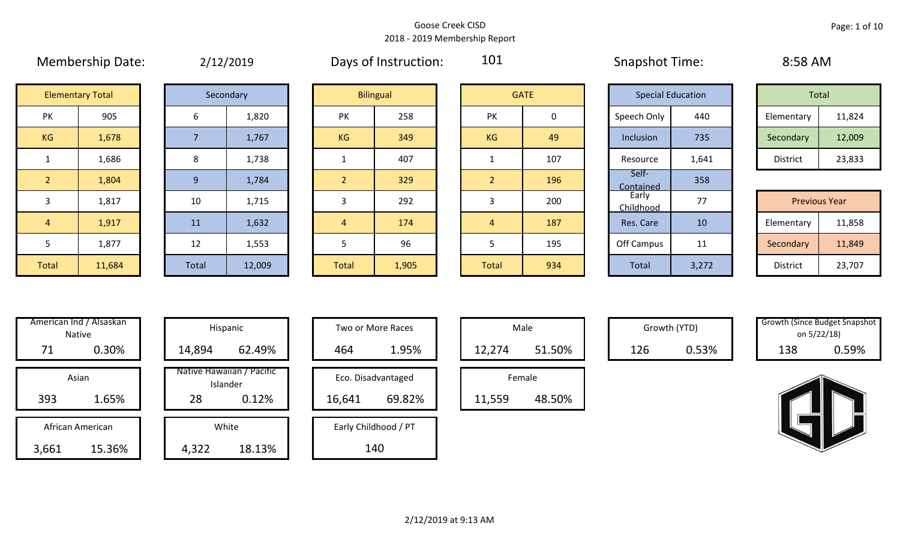|                |                         |                | $-7 - -7 - - -$ |              |                  |                |             |                    |                          |            |                      |
|----------------|-------------------------|----------------|-----------------|--------------|------------------|----------------|-------------|--------------------|--------------------------|------------|----------------------|
|                | <b>Elementary Total</b> |                | Secondary       |              | <b>Bilingual</b> |                | <b>GATE</b> |                    | <b>Special Education</b> | Total      |                      |
| PK             | 905                     | 6              | 1,820           | PK           | 258              | <b>PK</b>      | 0           | Speech Only        | 440                      | Elementary | 11,824               |
| KG             | 1,678                   |                | 1,767           | <b>KG</b>    | 349              | KG             | 49          | Inclusion          | 735                      | Secondary  | 12,009               |
|                | 1,686                   | 8              | 1,738           |              | 407              |                | 107         | Resource           | 1,641                    | District   | 23,833               |
| $\overline{2}$ | 1,804                   | 9 <sup>°</sup> | 1,784           |              | 329              | $\overline{2}$ | 196         | Self-<br>Contained | 358                      |            |                      |
| 3              | 1,817                   | 10             | 1,715           |              | 292              | 3              | 200         | Early<br>Childhood | 77                       |            | <b>Previous Year</b> |
| $\sqrt{4}$     | 1,917                   | 11             | 1,632           | 4            | 174              | 4              | 187         | Res. Care          | 10                       | Elementary | 11,858               |
| $\mathbf{D}$   | 1,877                   | 12             | 1,553           |              | 96               | ר              | 195         | Off Campus         | 11                       | Secondary  | 11,849               |
| Total          | 11,684                  | Total          | 12,009          | <b>Total</b> | 1,905            | Total          | 934         | Total              | 3,272                    | District   | 23,707               |

Membership Date:  $\mu$  2/12/2019  $\mu$  Days of Instruction:  $\mu$  101  $\mu$  Snapshot Time:  $\mu$  8:58 AM

101

| Total      |        |
|------------|--------|
| Elementary | 11,824 |
| Secondary  | 12,009 |
| District   | 23,833 |

|             |        |       |        |              |       |              |     | -----------               |                          |                      |        |
|-------------|--------|-------|--------|--------------|-------|--------------|-----|---------------------------|--------------------------|----------------------|--------|
|             | 1,817  | 10    | 1,715  |              | 292   |              | 200 | Early<br><b>Childhood</b> | $\overline{\phantom{a}}$ | <b>Previous Year</b> |        |
|             | 1,917  | 11    | 1,632  |              | 174   |              | 187 | Res. Care                 | 10                       | Elementary           | 11,858 |
|             | 1,877  | 12    | 1,553  |              | 96    |              | 195 | Off Campus                | 11                       | Secondary            | 11,849 |
| <b>otal</b> | 11,684 | Total | 12,009 | <b>Total</b> | 1,905 | <b>Total</b> | 934 | <b>Total</b>              | 3,272                    | District             | 23,707 |

| Hispani                    | American Ind / Alsaskan<br><b>Native</b> |                  |  |  |  |  |  |  |  |  |  |
|----------------------------|------------------------------------------|------------------|--|--|--|--|--|--|--|--|--|
| 14,894                     | 0.30%                                    | 71               |  |  |  |  |  |  |  |  |  |
|                            |                                          |                  |  |  |  |  |  |  |  |  |  |
| Native Hawaiiai<br>Islande |                                          | Asian            |  |  |  |  |  |  |  |  |  |
| 28                         | 1.65%                                    | 393              |  |  |  |  |  |  |  |  |  |
|                            |                                          |                  |  |  |  |  |  |  |  |  |  |
| White                      |                                          | African American |  |  |  |  |  |  |  |  |  |
| 4,322                      | 15.36%                                   | 3,661            |  |  |  |  |  |  |  |  |  |

|       | American Ind / Alsaskan<br>Native |        | Hispanic                              |        | Two or More Races    |        | Male   |  |     | Growth (YTD) | <b>Growth (Since Budget Snaps)</b><br>on 5/22/18) |       |
|-------|-----------------------------------|--------|---------------------------------------|--------|----------------------|--------|--------|--|-----|--------------|---------------------------------------------------|-------|
| 71    | 0.30%                             | 14,894 | 62.49%                                | 464    | 1.95%                | 12,274 | 51.50% |  | 126 | 0.53%        | 138                                               | 0.59% |
| Asian |                                   |        | Native Hawaiian / Pacific<br>Islander |        | Eco. Disadvantaged   |        | Female |  |     |              |                                                   |       |
| 393   | 1.65%                             | 28     | 0.12%                                 | 16,641 | 69.82%               | 11,559 | 48.50% |  |     |              |                                                   |       |
|       | African American                  |        | White                                 |        | Early Childhood / PT |        |        |  |     |              |                                                   |       |
| 3,661 | 15.36%                            | 4,322  | 18.13%                                |        | 140                  |        |        |  |     |              |                                                   |       |

| Hispanic                       |        | <b>Two or More Races</b> |        | Male   |
|--------------------------------|--------|--------------------------|--------|--------|
| 62.49%                         | 464    | 1.95%                    | 12,274 |        |
| lawaiian / Pacific<br>Islander |        | Eco. Disadvantaged       |        | Female |
| 0.12%                          | 16,641 | 69.82%                   | 11,559 |        |
| White                          |        | Early Childhood / PT     |        |        |
| 18.13%                         |        | 140                      |        |        |

| Male   |        |  |  |  |  |  |  |  |  |  |  |
|--------|--------|--|--|--|--|--|--|--|--|--|--|
| 12,274 | 51.50% |  |  |  |  |  |  |  |  |  |  |
| Female |        |  |  |  |  |  |  |  |  |  |  |
|        |        |  |  |  |  |  |  |  |  |  |  |

Growth (YTD) Growth (Since Budget Snapshot on 5/22/18)

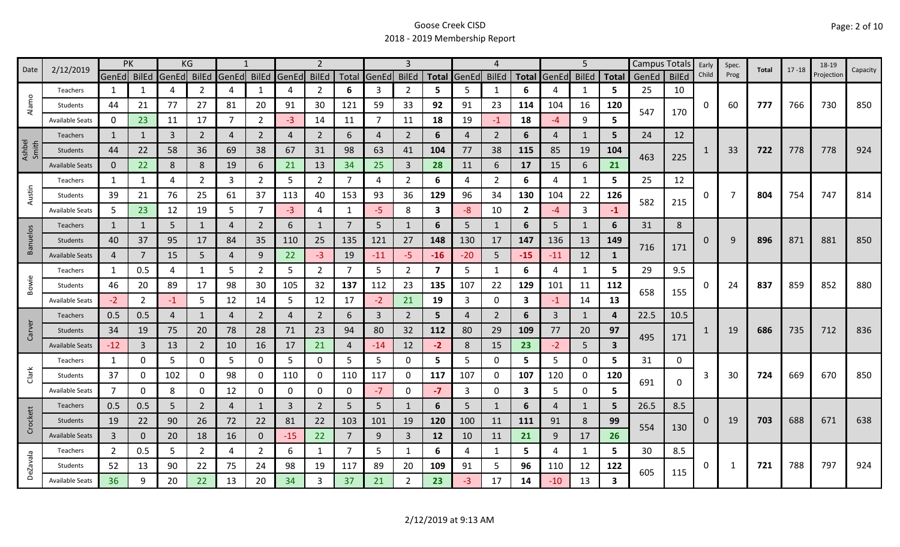|                 | 2/12/2019              |                | PK           |             | KG             |                |                |              | $\overline{2}$ |       |                |                |                         |       | $\boldsymbol{\mathcal{L}}$ |              |       | 5              |                         |       | Campus Totals | Early | Spec. | Total | $17 - 18$ | 18-19      |          |
|-----------------|------------------------|----------------|--------------|-------------|----------------|----------------|----------------|--------------|----------------|-------|----------------|----------------|-------------------------|-------|----------------------------|--------------|-------|----------------|-------------------------|-------|---------------|-------|-------|-------|-----------|------------|----------|
| Date            |                        | GenEd BilEd    |              | GenEd BilEd |                | GenEd BilEd    |                | <b>GenEd</b> | <b>BilEd</b>   | Total | GenEd          | <b>BilEd</b>   | <b>Total</b>            | GenEd | <b>BilEd</b>               | <b>Total</b> | GenEd | <b>BilEd</b>   | <b>Total</b>            | GenEd | <b>BilEd</b>  | Child | Prog  |       |           | Projection | Capacity |
|                 | Teachers               | 1              |              | 4           | 2              | $\overline{4}$ | 1              | 4            | $\overline{2}$ | 6     | 3              | 2              | 5                       | 5     | $\mathbf{1}$               | 6            |       | 1              | 5                       | 25    | 10            |       |       |       |           |            |          |
| Alamo           | Students               | 44             | 21           | 77          | 27             | 81             | 20             | 91           | 30             | 121   | 59             | 33             | 92                      | 91    | 23                         | 114          | 104   | 16             | 120                     | 547   | 170           | 0     | 60    | 777   | 766       | 730        | 850      |
|                 | <b>Available Seats</b> | 0              | 23           | 11          | 17             | 7              | $\overline{2}$ | $-3$         | 14             | 11    | $\overline{7}$ | 11             | 18                      | 19    | $-1$                       | 18           | -4    | 9              | 5                       |       |               |       |       |       |           |            |          |
|                 | Teachers               | 1              |              | 3           | $\overline{2}$ | 4              | $\overline{2}$ | 4            | $\overline{2}$ | 6     | 4              | $\overline{2}$ | 6                       | 4     | $\overline{2}$             | 6            | 4     | $\mathbf{1}$   | 5                       | 24    | 12            |       |       |       |           |            |          |
| Ashbel<br>Smith | Students               | 44             | 22           | 58          | 36             | 69             | 38             | 67           | 31             | 98    | 63             | 41             | 104                     | 77    | 38                         | 115          | 85    | 19             | 104                     |       |               |       | 33    | 722   | 778       | 778        | 924      |
|                 | <b>Available Seats</b> | $\mathbf{0}$   | 22           | 8           | 8              | 19             | 6              | 21           | 13             | 34    | 25             | 3              | 28                      | 11    | 6                          | 17           | 15    | 6              | 21                      | 463   | 225           |       |       |       |           |            |          |
|                 | Teachers               | $\mathbf{1}$   | 1            | 4           | 2              | 3              | $\overline{2}$ | 5            | $\overline{2}$ | 7     | 4              | $\overline{2}$ | 6                       | 4     | $\overline{2}$             | 6            | 4     | $\mathbf{1}$   | 5                       | 25    | 12            |       |       |       |           |            |          |
| Austin          | Students               | 39             | 21           | 76          | 25             | 61             | 37             | 113          | 40             | 153   | 93             | 36             | 129                     | 96    | 34                         | 130          | 104   | 22             | 126                     | 582   |               | 0     | 7     | 804   | 754       | 747        | 814      |
|                 | <b>Available Seats</b> | 5              | 23           | 12          | 19             | 5              | $\overline{7}$ | $-3$         | 4              | 1     | $-5$           | 8              | $\overline{\mathbf{3}}$ | $-8$  | 10                         | $2^{\circ}$  | -4    | 3              | $-1$                    |       | 215           |       |       |       |           |            |          |
|                 | <b>Teachers</b>        | $\mathbf{1}$   | 1            | 5           | $\mathbf{1}$   | 4              | $\overline{2}$ | 6            | $\mathbf{1}$   | 7     | 5              | 1              | 6                       | 5     | -1                         | 6            | 5     | 1              | 6                       | 31    | 8             |       |       |       |           |            |          |
| Banuelos        | Students               | 40             | 37           | 95          | 17             | 84             | 35             | 110          | 25             | 135   | 121            | 27             | 148                     | 130   | 17                         | 147          | 136   | 13             | 149                     |       |               | 0     | 9     | 896   | 871       | 881        | 850      |
|                 | <b>Available Seats</b> | $\overline{4}$ |              | 15          | 5.             | 4              | 9              | 22           | $-3$           | 19    | $-11$          | -5.            | $-16$                   | $-20$ | 5                          | $-15$        | $-11$ | 12             | 1                       | 716   | 171           |       |       |       |           |            |          |
|                 | Teachers               | $\mathbf{1}$   | 0.5          | 4           | 1              | 5              | $\overline{2}$ | 5            | $\overline{2}$ | 7     | 5              | $\overline{2}$ | 7                       | 5     | $\mathbf{1}$               | 6            | 4     | $\mathbf{1}$   | 5                       | 29    | 9.5           |       |       |       |           |            |          |
| Bowie           | Students               | 46             | 20           | 89          | 17             | 98             | 30             | 105          | 32             | 137   | 112            | 23             | 135                     | 107   | 22                         | 129          | 101   | 11             | 112                     |       |               | O     | 24    | 837   | 859       | 852        | 880      |
|                 | <b>Available Seats</b> | $-2$           | $2^{\circ}$  | $-1$        | 5              | 12             | 14             | 5            | 12             | 17    | $-2$           | 21             | 19                      | 3     | 0                          | $\mathbf{3}$ | $-1$  | 14             | 13                      | 658   | 155           |       |       |       |           |            |          |
|                 | Teachers               | 0.5            | 0.5          | 4           | $\mathbf{1}$   | 4              | $\overline{2}$ | 4            | $\overline{2}$ | 6     | 3              | $\overline{2}$ | 5                       | 4     | 2                          | 6            | 3     | 1              | 4                       | 22.5  | 10.5          |       |       |       |           |            |          |
| Carver          | Students               | 34             | 19           | 75          | 20             | 78             | 28             | 71           | 23             | 94    | 80             | 32             | 112                     | 80    | 29                         | 109          | 77    | 20             | 97                      | 495   | 171           |       | 19    | 686   | 735       | 712        | 836      |
|                 | <b>Available Seats</b> | $-12$          | 3            | 13          | $\overline{2}$ | 10             | 16             | 17           | 21             | 4     | $-14$          | 12             | $-2$                    | 8     | 15                         | 23           | $-2$  | 5 <sup>5</sup> | $\overline{\mathbf{3}}$ |       |               |       |       |       |           |            |          |
|                 | Teachers               | $\mathbf{1}$   | 0            | 5           | 0              | 5              | 0              | 5            | 0              | 5     | 5              | 0              | 5                       | 5     | 0                          | 5            | 5     | $\mathbf 0$    | 5                       | 31    | 0             |       |       |       |           |            |          |
| Clark           | Students               | 37             | 0            | 102         | 0              | 98             | 0              | 110          | 0              | 110   | 117            | 0              | 117                     | 107   | 0                          | 107          | 120   | 0              | 120                     | 691   | 0             | 3     | 30    | 724   | 669       | 670        | 850      |
|                 | <b>Available Seats</b> | $\overline{7}$ | 0            | 8           | 0              | 12             | 0              | 0            | 0              | 0     | $-7$           | 0              | $-7$                    | 3     | 0                          | 3            | 5     | 0              | 5                       |       |               |       |       |       |           |            |          |
|                 | <b>Teachers</b>        | 0.5            | 0.5          | 5           | $\overline{2}$ | 4              | $\mathbf{1}$   | 3            | $\overline{2}$ | 5     | 5              |                | 6                       | 5     | $\mathbf{1}$               | 6            | 4     | 1              | 5                       | 26.5  | 8.5           |       |       |       |           |            |          |
| Crockett        | Students               | 19             | 22           | 90          | 26             | 72             | 22             | 81           | 22             | 103   | 101            | 19             | 120                     | 100   | 11                         | 111          | 91    | 8              | 99                      | 554   | 130           | 0     | 19    | 703   | 688       | 671        | 638      |
|                 | <b>Available Seats</b> | $\overline{3}$ | $\mathbf{0}$ | 20          | 18             | 16             | $\mathbf 0$    | $-15$        | 22             | 7     | 9              | $\mathbf{3}$   | 12                      | 10    | 11                         | 21           | 9     | 17             | 26                      |       |               |       |       |       |           |            |          |
|                 | Teachers               | $\overline{2}$ | 0.5          | 5           | $\overline{2}$ | 4              | $\overline{2}$ | 6            | 1              | 7     | 5              |                | 6                       | 4     | $\mathbf{1}$               | 5            | 4     | 1              | 5                       | 30    | 8.5           |       |       |       |           |            |          |
| DeZavala        | Students               | 52             | 13           | 90          | 22             | 75             | 24             | 98           | 19             | 117   | 89             | 20             | 109                     | 91    | 5                          | 96           | 110   | 12             | 122                     | 605   | 115           | 0     | 1     | 721   | 788       | 797        | 924      |
|                 | <b>Available Seats</b> | 36             | 9            | 20          | 22             | 13             | 20             | 34           | 3              | 37    | 21             | 2              | 23                      | -3.   | 17                         | 14           | $-10$ | 13             | 3                       |       |               |       |       |       |           |            |          |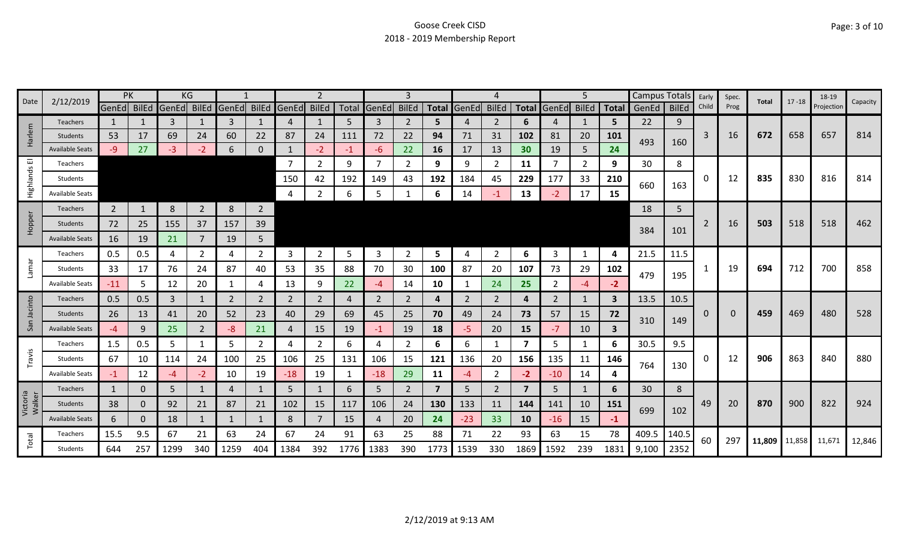| Date               | 2/12/2019              |                | PK       |                         | ΚG             |                |                |             |                |      |             | 3              |                         |             | 4              |                         |                   | 5              |              | <b>Campus Totals</b> |              | Early | Spec.    | Total                | $17 - 18$ | 18-19      | Capacity |
|--------------------|------------------------|----------------|----------|-------------------------|----------------|----------------|----------------|-------------|----------------|------|-------------|----------------|-------------------------|-------------|----------------|-------------------------|-------------------|----------------|--------------|----------------------|--------------|-------|----------|----------------------|-----------|------------|----------|
|                    |                        |                |          | GenEd BilEd GenEd BilEd |                | GenEd          |                | BilEd GenEd | <b>BilEd</b>   |      | Total GenEd | <b>BilEd</b>   |                         | Total GenEd | <b>BilEd</b>   |                         | Total GenEd BilEd |                | Total        | GenEd                | <b>BilEd</b> | Child | Prog     |                      |           | Projection |          |
|                    | <b>Teachers</b>        | $\mathbf{1}$   |          | 3                       |                | 3              |                | 4           | 1              | .5   | 3           | 2              | 5.                      |             | 2              | 6                       | 4                 |                | 5            | 22                   | 9            |       |          |                      |           |            |          |
| Harlem             | <b>Students</b>        | 53             | 17       | 69                      | 24             | 60             | 22             | 87          | 24             | 111  | 72          | 22             | 94                      | 71          | 31             | 102                     | 81                | 20             | 101          | 493                  | 160          | 3     | 16       | 672                  | 658       | 657        | 814      |
|                    | <b>Available Seats</b> | -9             | 27       | -3                      | $-2$           | 6              | 0              |             | $-2$           | $-1$ | -6          | 22             | 16                      | 17          | 13             | 30 <sub>2</sub>         | 19                | 5              | 24           |                      |              |       |          |                      |           |            |          |
| ш                  | Teachers               |                |          |                         |                |                |                | 7           | $\overline{2}$ | 9    | 7           | $\overline{2}$ | 9                       | 9           | 2              | 11                      | 7                 | $\overline{2}$ | 9            | 30                   | 8            |       |          |                      |           |            |          |
| Highlands          | Students               |                |          |                         |                |                |                | 150         | 42             | 192  | 149         | 43             | 192                     | 184         | 45             | 229                     | 177               | 33             | 210          | 660                  | 163          | 0     | 12       | 835                  | 830       | 816        | 814      |
|                    | <b>Available Seats</b> |                |          |                         |                |                |                | 4           | $\overline{2}$ | 6    | 5           |                | 6                       | 14          | -1             | 13                      |                   | 17             | 15           |                      |              |       |          |                      |           |            |          |
|                    | <b>Teachers</b>        | $\overline{2}$ |          | 8                       | $\overline{2}$ | 8              | $\overline{2}$ |             |                |      |             |                |                         |             |                |                         |                   |                |              | 18                   | 5            |       |          |                      |           |            |          |
| Hopper             | Students               | 72             | 25       | 155                     | 37             | 157            | 39             |             |                |      |             |                |                         |             |                |                         |                   |                |              |                      |              | 2     | 16       | 503                  | 518       | 518        | 462      |
|                    | <b>Available Seats</b> | 16             | 19       | 21                      |                | 19             | 5              |             |                |      |             |                |                         |             |                |                         |                   |                |              | 384                  | 101          |       |          |                      |           |            |          |
|                    | Teachers               | 0.5            | 0.5      | 4                       | 2              | 4              | $\overline{2}$ | 3           | $\overline{2}$ | .5   | 3           | 2              | 5                       | 4           | 2              | 6                       | 3                 | 1              | 4            | 21.5                 | 11.5         |       |          |                      |           |            |          |
| Lamar              | Students               | 33             | 17       | 76                      | 24             | 87             | 40             | 53          | 35             | 88   | 70          | 30             | 100                     | 87          | 20             | 107                     | 73                | 29             | 102          |                      |              | -1    | 19       | 694                  | 712       | 700        | 858      |
|                    | Available Seats        | $-11$          | 5        | 12                      | 20             |                | 4              | 13          | 9              | 22   | $-4$        | 14             | 10                      |             | 24             | 25                      | 2                 | $-4$           | $-2$         | 479                  | 195          |       |          |                      |           |            |          |
| cinto              | Teachers               | 0.5            | 0.5      | 3                       | 1              | 2              | 2              | 2           | $\overline{2}$ | 4    | 2           | 2              | 4                       | 2           | 2              | 4                       | 2                 | 1              | $\mathbf{3}$ | 13.5                 | 10.5         |       |          |                      |           |            |          |
|                    | <b>Students</b>        | 26             | 13       | 41                      | 20             | 52             | 23             | 40          | 29             | 69   | 45          | 25             | 70                      | 49          | 24             | 73                      | 57                | 15             | 72           |                      |              | 0     | $\Omega$ | 459                  | 469       | 480        | 528      |
| San                | <b>Available Seats</b> | -4             | 9        | 25                      | $\overline{2}$ | -8             | 21             | 4           | 15             | 19   | $-1$        | 19             | 18                      | -5.         | 20             | 15                      | $-7$              | 10             | $\mathbf{3}$ | 310                  | 149          |       |          |                      |           |            |          |
|                    | Teachers               | 1.5            | 0.5      | 5                       | 1              | 5              | $\overline{2}$ | 4           | $\overline{2}$ | 6    | 4           | $\overline{2}$ | 6                       | 6           |                | $\overline{\mathbf{z}}$ | 5                 | 1              | 6            | 30.5                 | 9.5          |       |          |                      |           |            |          |
| Travis             | Students               | 67             | 10       | 114                     | 24             | 100            | 25             | 106         | 25             | 131  | 106         | 15             | 121                     | 136         | 20             | 156                     | 135               | 11             | 146          |                      |              | 0     | 12       | 906                  | 863       | 840        | 880      |
|                    | Available Seats        | $-1$           | 12       | -4                      | $-2$           | 10             | 19             | $-18$       | 19             |      | $-18$       | 29             | 11                      | -4          | $\overline{2}$ | $-2$                    | $-10$             | 14             | 4            | 764                  | 130          |       |          |                      |           |            |          |
|                    | Teachers               | $\mathbf{1}$   | 0        | 5                       | 1              | $\overline{4}$ | 1              | 5           | $\mathbf{1}$   | 6    | 5           | 2              | $\overline{\mathbf{z}}$ | 5.          | 2              | $\overline{7}$          | 5                 | 1              | 6            | 30                   | 8            |       |          |                      |           |            |          |
| Victoria<br>Walker | <b>Students</b>        | 38             | 0        | 92                      | 21             | 87             | 21             | 102         | 15             | 117  | 106         | 24             | 130                     | 133         | 11             | 144                     | 141               | 10             | 151          |                      |              | 49    | 20       | 870                  | 900       | 822        | 924      |
|                    | <b>Available Seats</b> | 6              | $\Omega$ | 18                      | $\mathbf{1}$   |                |                | 8           | $\overline{7}$ | 15   | 4           | 20             | 24                      | $-23$       | 33             | 10                      | $-16$             | 15             | $-1$         | 699                  | 102          |       |          |                      |           |            |          |
|                    | Teachers               | 15.5           | 9.5      | 67                      | 21             | 63             | 24             | 67          | 24             | 91   | 63          | 25             | 88                      | 71          | 22             | 93                      | 63                | 15             | 78           | 409.5                | 140.5        | 60    |          |                      |           |            |          |
| Total              | Students               | 644            | 257      | 1299                    | 340            | 1259           | 404            | 1384        | 392            | 1776 | 1383        | 390            | 1773                    | 1539        | 330            | 1869                    | 1592              | 239            | 1831         | 9,100                | 2352         |       | 297      | 11,809 11,858 11,671 |           |            | 12,846   |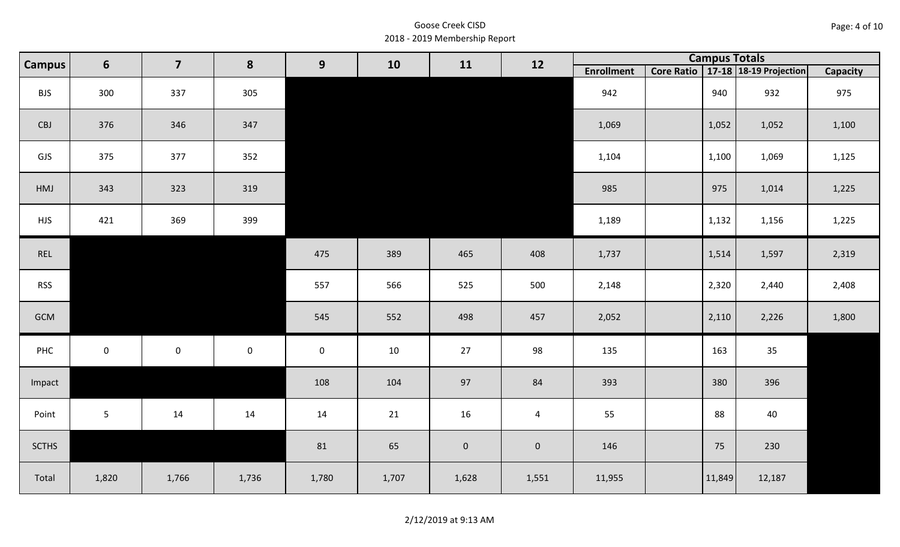| Page: 4 of 10 |  |  |  |
|---------------|--|--|--|
|---------------|--|--|--|

| <b>Campus</b> | $\overline{\mathbf{z}}$<br>6<br>8<br>9 | 10                  | 11          | 12          |       | <b>Campus Totals</b> |                |                   |        |                                       |          |
|---------------|----------------------------------------|---------------------|-------------|-------------|-------|----------------------|----------------|-------------------|--------|---------------------------------------|----------|
|               |                                        |                     |             |             |       |                      |                | <b>Enrollment</b> |        | Core Ratio   17-18   18-19 Projection | Capacity |
| <b>BJS</b>    | 300                                    | 337                 | 305         |             |       |                      |                | 942               | 940    | 932                                   | 975      |
| CBJ           | 376                                    | 346                 | 347         |             |       |                      |                | 1,069             | 1,052  | 1,052                                 | 1,100    |
| GJS           | 375                                    | 377                 | 352         |             |       |                      |                | 1,104             | 1,100  | 1,069                                 | 1,125    |
| HMJ           | 343                                    | 323                 | 319         |             |       |                      |                | 985               | 975    | 1,014                                 | 1,225    |
| <b>HJS</b>    | 421                                    | 369                 | 399         |             |       |                      |                | 1,189             | 1,132  | 1,156                                 | 1,225    |
| REL           |                                        |                     |             | 475         | 389   | 465                  | 408            | 1,737             | 1,514  | 1,597                                 | 2,319    |
| <b>RSS</b>    |                                        |                     |             | 557         | 566   | 525                  | 500            | 2,148             | 2,320  | 2,440                                 | 2,408    |
| GCM           |                                        |                     |             | 545         | 552   | 498                  | 457            | 2,052             | 2,110  | 2,226                                 | 1,800    |
| PHC           | $\mathbf 0$                            | $\mathsf{O}\xspace$ | $\mathbf 0$ | $\mathbf 0$ | 10    | 27                   | 98             | 135               | 163    | 35                                    |          |
| Impact        |                                        |                     |             | 108         | 104   | 97                   | 84             | 393               | 380    | 396                                   |          |
| Point         | $5\phantom{.0}$                        | 14                  | 14          | $14\,$      | 21    | 16                   | $\overline{4}$ | 55                | 88     | 40                                    |          |
| <b>SCTHS</b>  |                                        |                     |             | 81          | 65    | $\mathbf 0$          | $\overline{0}$ | 146               | 75     | 230                                   |          |
| Total         | 1,820                                  | 1,766               | 1,736       | 1,780       | 1,707 | 1,628                | 1,551          | 11,955            | 11,849 | 12,187                                |          |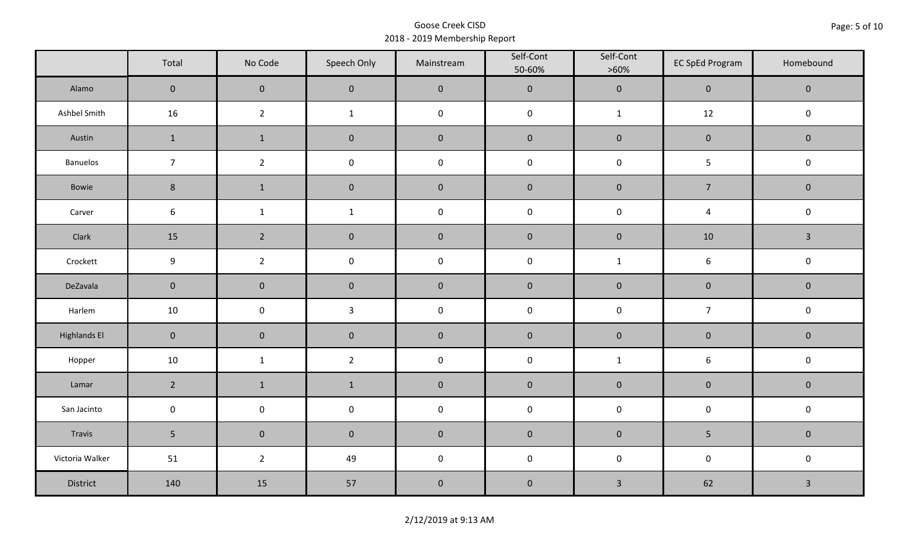|                     | Total               | No Code             | Speech Only         | Mainstream | Self-Cont<br>50-60% | Self-Cont<br>$>60\%$ | <b>EC SpEd Program</b> | Homebound    |
|---------------------|---------------------|---------------------|---------------------|------------|---------------------|----------------------|------------------------|--------------|
| Alamo               | $\mathbf{0}$        | $\mathbf 0$         | $\mathbf 0$         | $\pmb{0}$  | $\pmb{0}$           | $\pmb{0}$            | $\mathbf 0$            | $\mathbf 0$  |
| Ashbel Smith        | 16                  | $\overline{2}$      | $\mathbf{1}$        | $\pmb{0}$  | $\pmb{0}$           | $\mathbf{1}$         | 12                     | $\mathbf 0$  |
| Austin              | $\mathbf{1}$        | $\mathbf{1}$        | $\mathbf 0$         | $\pmb{0}$  | $\pmb{0}$           | $\pmb{0}$            | $\pmb{0}$              | $\mathbf 0$  |
| Banuelos            | $\overline{7}$      | $\overline{2}$      | $\pmb{0}$           | $\pmb{0}$  | $\mathsf 0$         | $\mathsf 0$          | 5                      | $\pmb{0}$    |
| Bowie               | $8\phantom{1}$      | $\mathbf{1}$        | $\mathbf 0$         | $\pmb{0}$  | $\pmb{0}$           | $\pmb{0}$            | $\overline{7}$         | $\mathbf 0$  |
| Carver              | 6                   | $\mathbf 1$         | $\mathbf 1$         | $\pmb{0}$  | $\pmb{0}$           | $\pmb{0}$            | $\overline{4}$         | $\pmb{0}$    |
| Clark               | 15                  | $\overline{2}$      | $\mathbf 0$         | $\pmb{0}$  | $\pmb{0}$           | $\pmb{0}$            | 10                     | $\mathbf{3}$ |
| Crockett            | 9                   | $\overline{2}$      | $\pmb{0}$           | $\pmb{0}$  | $\pmb{0}$           | $\mathbf{1}$         | $\boldsymbol{6}$       | $\pmb{0}$    |
| DeZavala            | $\mathsf{O}\xspace$ | $\mathbf 0$         | $\mathbf 0$         | $\pmb{0}$  | $\pmb{0}$           | $\pmb{0}$            | $\pmb{0}$              | $\mathbf 0$  |
| Harlem              | 10                  | $\mathsf 0$         | $\mathbf{3}$        | $\pmb{0}$  | $\pmb{0}$           | $\pmb{0}$            | $\overline{7}$         | $\pmb{0}$    |
| <b>Highlands El</b> | $\mathbf 0$         | $\mathbf 0$         | $\mathbf 0$         | $\pmb{0}$  | $\pmb{0}$           | $\pmb{0}$            | $\pmb{0}$              | $\mathbf 0$  |
| Hopper              | 10                  | $\mathbf{1}$        | $\overline{2}$      | $\pmb{0}$  | $\pmb{0}$           | $\mathbf{1}$         | $\boldsymbol{6}$       | $\pmb{0}$    |
| Lamar               | $\overline{2}$      | $\mathbf{1}$        | $\mathbf{1}$        | $\pmb{0}$  | $\pmb{0}$           | $\pmb{0}$            | $\pmb{0}$              | $\pmb{0}$    |
| San Jacinto         | $\mathbf 0$         | $\mathsf{O}\xspace$ | $\mathsf{O}\xspace$ | $\pmb{0}$  | $\pmb{0}$           | $\pmb{0}$            | $\pmb{0}$              | $\pmb{0}$    |
| Travis              | 5 <sub>1</sub>      | $\mathbf 0$         | $\mathbf 0$         | $\pmb{0}$  | $\pmb{0}$           | $\pmb{0}$            | 5                      | $\mathbf 0$  |
| Victoria Walker     | 51                  | $\overline{2}$      | 49                  | $\pmb{0}$  | $\mathsf 0$         | $\pmb{0}$            | $\pmb{0}$              | $\pmb{0}$    |
| District            | 140                 | 15                  | 57                  | $\pmb{0}$  | $\pmb{0}$           | $\mathbf{3}$         | 62                     | $\mathbf{3}$ |

2/12/2019 at 9:13 AM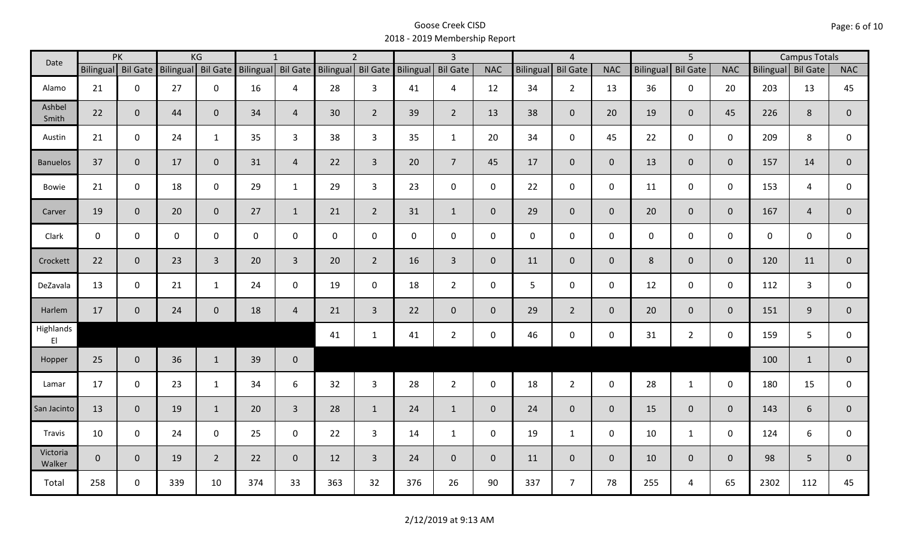| PK<br>Date                          |                    |              | KG                 |                | $\mathbf{1}$       |                | $\overline{2}$     |                | $\overline{3}$ |                |                | $\overline{4}$   |                 |                | $\overline{5}$ |                 |                | <b>Campus Totals</b> |                |                |
|-------------------------------------|--------------------|--------------|--------------------|----------------|--------------------|----------------|--------------------|----------------|----------------|----------------|----------------|------------------|-----------------|----------------|----------------|-----------------|----------------|----------------------|----------------|----------------|
|                                     | Bilingual Bil Gate |              | Bilingual Bil Gate |                | Bilingual Bil Gate |                | Bilingual Bil Gate |                | Bilingual      | Bil Gate       | <b>NAC</b>     | <b>Bilingual</b> | <b>Bil Gate</b> | <b>NAC</b>     | Bilingual      | <b>Bil Gate</b> | <b>NAC</b>     | Bilingual Bil Gate   |                | <b>NAC</b>     |
| Alamo                               | 21                 | $\mathbf 0$  | 27                 | $\mathbf 0$    | 16                 | $\overline{4}$ | 28                 | 3              | 41             | 4              | 12             | 34               | $\overline{2}$  | 13             | 36             | $\mathbf{0}$    | 20             | 203                  | 13             | 45             |
| Ashbel<br>Smith                     | 22                 | $\mathbf 0$  | 44                 | $\mathbf{0}$   | 34                 | $\overline{4}$ | 30                 | $\overline{2}$ | 39             | $2^{\circ}$    | 13             | 38               | $\overline{0}$  | 20             | 19             | $\overline{0}$  | 45             | 226                  | 8              | $\mathbf{0}$   |
| Austin                              | 21                 | $\mathbf 0$  | 24                 | $\mathbf{1}$   | 35                 | $\overline{3}$ | 38                 | $\mathbf{3}$   | 35             | $\mathbf{1}$   | 20             | 34               | $\mathbf 0$     | 45             | 22             | $\mathbf{0}$    | $\mathbf 0$    | 209                  | 8              | 0              |
| <b>Banuelos</b>                     | 37                 | $\mathbf 0$  | 17                 | $\mathbf 0$    | 31                 | $\overline{4}$ | 22                 | $\overline{3}$ | 20             | $\overline{7}$ | 45             | 17               | $\overline{0}$  | $\overline{0}$ | 13             | $\mathbf{0}$    | $\overline{0}$ | 157                  | 14             | $\overline{0}$ |
| <b>Bowie</b>                        | 21                 | $\mathbf 0$  | 18                 | $\mathbf 0$    | 29                 | $\mathbf{1}$   | 29                 | $\overline{3}$ | 23             | $\mathbf 0$    | $\mathsf{O}$   | 22               | $\mathbf 0$     | $\mathsf{O}$   | 11             | $\mathbf 0$     | $\mathbf 0$    | 153                  | 4              | $\mathbf 0$    |
| Carver                              | 19                 | $\mathbf 0$  | 20                 | $\mathbf{0}$   | 27                 | $\mathbf{1}$   | 21                 | $\overline{2}$ | 31             | $\mathbf{1}$   | $\overline{0}$ | 29               | $\overline{0}$  | $\overline{0}$ | 20             | $\overline{0}$  | $\overline{0}$ | 167                  | $\overline{4}$ | $\mathbf 0$    |
| Clark                               | $\mathbf 0$        | $\mathbf 0$  | $\mathbf 0$        | $\mathbf 0$    | $\mathsf{O}$       | 0              | $\mathbf 0$        | $\mathbf 0$    | $\mathbf 0$    | $\mathbf 0$    | $\mathbf 0$    | $\mathbf 0$      | $\mathsf 0$     | $\mathsf{O}$   | $\mathbf 0$    | $\mathbf 0$     | $\mathbf 0$    | $\mathbf 0$          | $\mathbf 0$    | 0              |
| Crockett                            | 22                 | $\mathbf{0}$ | 23                 | $\overline{3}$ | 20                 | $\overline{3}$ | 20                 | $\overline{2}$ | 16             | $\overline{3}$ | $\mathbf{0}$   | 11               | $\mathbf{0}$    | $\overline{0}$ | 8              | $\overline{0}$  | $\overline{0}$ | 120                  | 11             | $\mathbf{0}$   |
| DeZavala                            | 13                 | $\mathbf 0$  | 21                 | $\mathbf{1}$   | 24                 | $\mathbf 0$    | 19                 | $\mathbf 0$    | 18             | $2^{\circ}$    | $\mathbf 0$    | 5                | $\mathbf 0$     | $\mathsf{O}$   | 12             | $\mathbf{0}$    | $\mathbf 0$    | 112                  | $\overline{3}$ | 0              |
| Harlem                              | 17                 | $\mathbf 0$  | 24                 | $\mathbf 0$    | 18                 | $\overline{4}$ | 21                 | $\overline{3}$ | 22             | $\mathbf 0$    | $\mathbf 0$    | 29               | $2^{\circ}$     | $\mathbf 0$    | 20             | $\mathbf{0}$    | $\overline{0}$ | 151                  | 9              | $\mathbf{0}$   |
| Highlands<br>$\mathsf{E}\mathsf{I}$ |                    |              |                    |                |                    |                | 41                 | $\mathbf{1}$   | 41             | $\overline{2}$ | $\mathbf 0$    | 46               | $\mathbf 0$     | $\mathsf{O}$   | 31             | $2^{\circ}$     | $\mathbf 0$    | 159                  | 5              | $\mathsf{O}$   |
| Hopper                              | 25                 | $\mathbf 0$  | 36                 | $\mathbf{1}$   | 39                 | $\mathbf 0$    |                    |                |                |                |                |                  |                 |                |                |                 |                | 100                  | $\mathbf{1}$   | $\mathbf 0$    |
| Lamar                               | 17                 | $\mathbf 0$  | 23                 | $\mathbf{1}$   | 34                 | 6              | 32                 | $\overline{3}$ | 28             | $2^{\circ}$    | $\mathsf{O}$   | 18               | $2^{\circ}$     | $\mathbf 0$    | 28             | $\mathbf{1}$    | $\mathbf 0$    | 180                  | 15             | $\mathbf 0$    |
| San Jacinto                         | 13                 | $\mathbf{0}$ | 19                 | $\mathbf{1}$   | 20                 | $\overline{3}$ | 28                 | $\mathbf{1}$   | 24             | $\mathbf{1}$   | $\overline{0}$ | 24               | $\overline{0}$  | $\overline{0}$ | 15             | $\overline{0}$  | $\mathbf{0}$   | 143                  | 6              | $\mathbf 0$    |
| Travis                              | 10                 | $\mathbf 0$  | 24                 | $\mathbf 0$    | 25                 | $\mathbf 0$    | 22                 | $\overline{3}$ | 14             | $\mathbf{1}$   | $\mathsf{O}$   | 19               | $\mathbf{1}$    | $\mathbf 0$    | 10             | $\mathbf{1}$    | $\mathbf 0$    | 124                  | 6              | $\mathbf 0$    |
| Victoria<br>Walker                  | $\overline{0}$     | $\mathbf 0$  | 19                 | $\overline{2}$ | 22                 | $\mathbf{0}$   | 12                 | $\overline{3}$ | 24             | $\overline{0}$ | $\mathbf{0}$   | 11               | $\overline{0}$  | $\mathbf{0}$   | 10             | $\mathbf{0}$    | $\overline{0}$ | 98                   | 5              | $\mathbf{0}$   |
| Total                               | 258                | $\mathbf 0$  | 339                | 10             | 374                | 33             | 363                | 32             | 376            | 26             | 90             | 337              | $\overline{7}$  | 78             | 255            | 4               | 65             | 2302                 | 112            | 45             |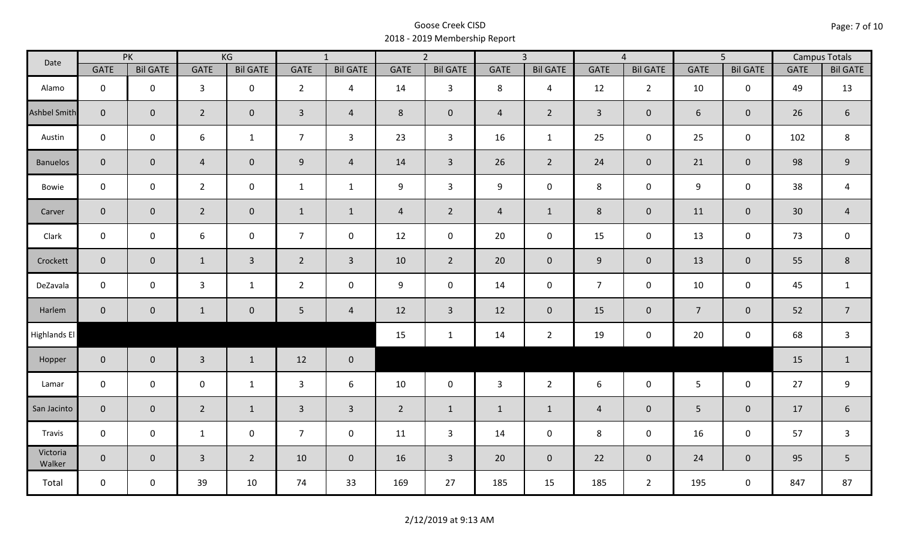| Date               | PK             |                 | KG               |                 | $\overline{1}$ |                 | $\overline{2}$ |                 | $\overline{3}$ |                 | $\overline{4}$ |                 | $\overline{5}$   |                 | <b>Campus Totals</b> |                  |
|--------------------|----------------|-----------------|------------------|-----------------|----------------|-----------------|----------------|-----------------|----------------|-----------------|----------------|-----------------|------------------|-----------------|----------------------|------------------|
|                    | <b>GATE</b>    | <b>Bil GATE</b> | <b>GATE</b>      | <b>Bil GATE</b> | <b>GATE</b>    | <b>Bil GATE</b> | <b>GATE</b>    | <b>Bil GATE</b> | <b>GATE</b>    | <b>Bil GATE</b> | <b>GATE</b>    | <b>Bil GATE</b> | <b>GATE</b>      | <b>Bil GATE</b> | <b>GATE</b>          | <b>Bil GATE</b>  |
| Alamo              | $\mathbf 0$    | $\mathbf 0$     | $\overline{3}$   | $\mathbf 0$     | $\overline{2}$ | $\overline{4}$  | 14             | $\mathbf{3}$    | 8              | $\overline{4}$  | 12             | $\overline{2}$  | 10               | $\mathbf 0$     | 49                   | 13               |
| Ashbel Smith       | $\mathbf{0}$   | $\overline{0}$  | $\overline{2}$   | $\overline{0}$  | $\overline{3}$ | $\overline{4}$  | 8              | $\mathbf 0$     | $\overline{4}$ | $\overline{2}$  | $\overline{3}$ | $\pmb{0}$       | 6                | $\mathbf{0}$    | 26                   | $\boldsymbol{6}$ |
| Austin             | $\mathsf{O}$   | $\mathbf 0$     | $\boldsymbol{6}$ | $\mathbf{1}$    | $\overline{7}$ | $\overline{3}$  | 23             | $\overline{3}$  | 16             | $\mathbf{1}$    | 25             | $\mathsf{O}$    | 25               | $\mathbf 0$     | 102                  | 8                |
| <b>Banuelos</b>    | $\overline{0}$ | $\overline{0}$  | $\overline{4}$   | $\overline{0}$  | 9              | $\overline{4}$  | 14             | $\overline{3}$  | 26             | $2^{\circ}$     | 24             | $\overline{0}$  | 21               | $\overline{0}$  | 98                   | 9                |
| Bowie              | $\mathbf 0$    | $\mathbf 0$     | $\overline{2}$   | $\mathbf 0$     | $\mathbf{1}$   | $\mathbf{1}$    | 9              | $\mathbf{3}$    | 9              | $\mathbf 0$     | 8              | 0               | $\boldsymbol{9}$ | $\mathbf 0$     | 38                   | $\overline{a}$   |
| Carver             | $\overline{0}$ | $\mathbf 0$     | $\overline{2}$   | $\overline{0}$  | $\mathbf{1}$   | $\mathbf{1}$    | $\overline{4}$ | $\overline{2}$  | $\overline{4}$ | $\mathbf{1}$    | 8              | $\pmb{0}$       | 11               | $\mathbf{0}$    | 30                   | $\overline{4}$   |
| Clark              | $\mathbf 0$    | $\mathbf 0$     | $\boldsymbol{6}$ | $\mathbf 0$     | $\overline{7}$ | $\mathbf 0$     | 12             | $\mathbf 0$     | 20             | $\mathbf 0$     | 15             | 0               | 13               | $\mathsf{O}$    | 73                   | $\mathbf 0$      |
| Crockett           | $\overline{0}$ | $\mathbf 0$     | $\mathbf{1}$     | $\overline{3}$  | $2^{\circ}$    | $\overline{3}$  | 10             | $2^{\circ}$     | 20             | $\overline{0}$  | 9              | $\overline{0}$  | 13               | $\mathbf 0$     | 55                   | $\,8\,$          |
| DeZavala           | $\mathsf{O}$   | $\mathbf 0$     | $\mathbf{3}$     | $\mathbf{1}$    | $\overline{2}$ | $\mathbf 0$     | 9              | $\mathbf 0$     | 14             | $\mathbf 0$     | $\overline{7}$ | $\mathbf 0$     | 10               | $\mathbf 0$     | 45                   | $\mathbf{1}$     |
| Harlem             | $\mathbf 0$    | $\overline{0}$  | $\mathbf{1}$     | $\mathbf 0$     | $5\phantom{.}$ | $\overline{4}$  | 12             | $\overline{3}$  | 12             | $\overline{0}$  | 15             | $\mathbf 0$     | $\overline{7}$   | $\mathbf{0}$    | 52                   | $\overline{7}$   |
| Highlands El       |                |                 |                  |                 |                |                 | 15             | $\mathbf{1}$    | 14             | $\overline{2}$  | 19             | 0               | 20               | $\mathbf 0$     | 68                   | $\mathbf{3}$     |
| Hopper             | $\overline{0}$ | $\mathbf{0}$    | $\overline{3}$   | $\mathbf{1}$    | 12             | $\mathbf 0$     |                |                 |                |                 |                |                 |                  |                 | 15                   | $\mathbf{1}$     |
| Lamar              | $\mathbf 0$    | $\mathbf 0$     | $\mathbf 0$      | $\mathbf{1}$    | $\mathbf{3}$   | 6               | 10             | $\mathbf 0$     | $\mathbf{3}$   | $\overline{2}$  | 6              | 0               | $5\phantom{.}$   | $\mathbf 0$     | 27                   | 9                |
| San Jacinto        | $\overline{0}$ | $\mathbf 0$     | $\overline{2}$   | $\mathbf{1}$    | $\overline{3}$ | $\overline{3}$  | $\overline{2}$ | $\mathbf{1}$    | $\mathbf{1}$   | $\mathbf{1}$    | $\overline{4}$ | $\mathbf 0$     | 5                | $\mathbf 0$     | 17                   | $\boldsymbol{6}$ |
| Travis             | $\mathsf{O}$   | $\mathbf 0$     | $\mathbf{1}$     | $\mathbf 0$     | $\overline{7}$ | $\mathbf 0$     | 11             | $\mathbf{3}$    | 14             | $\mathbf 0$     | 8              | 0               | 16               | $\mathsf{O}$    | 57                   | $\mathsf{3}$     |
| Victoria<br>Walker | $\overline{0}$ | $\overline{0}$  | $\overline{3}$   | $2^{\circ}$     | 10             | $\overline{0}$  | 16             | $\overline{3}$  | 20             | $\overline{0}$  | 22             | $\overline{0}$  | 24               | $\overline{0}$  | 95                   | 5                |
| Total              | $\mathsf{O}$   | $\mathbf 0$     | 39               | 10              | 74             | 33              | 169            | 27              | 185            | 15              | 185            | $2^{\circ}$     | 195              | $\mathbf 0$     | 847                  | 87               |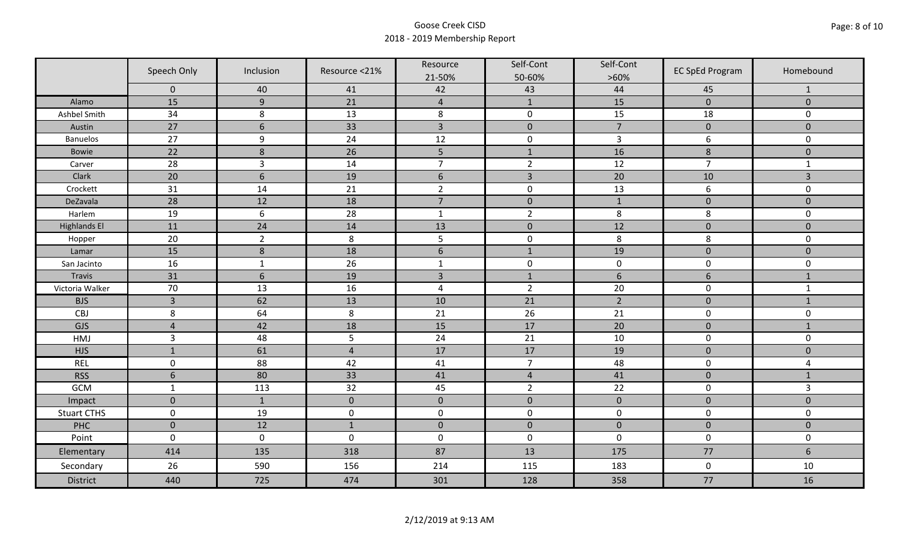|                     | Speech Only<br>Inclusion |                  | Resource <21%  | Resource<br>21-50% | Self-Cont<br>50-60% | Self-Cont<br>$>60\%$ | <b>EC SpEd Program</b> | Homebound               |
|---------------------|--------------------------|------------------|----------------|--------------------|---------------------|----------------------|------------------------|-------------------------|
|                     | $\mathbf 0$              | 40               | 41             | 42                 | 43                  | 44                   | 45                     | $\mathbf{1}$            |
| Alamo               | 15                       | $\overline{9}$   | 21             | $\overline{4}$     | $\mathbf{1}$        | 15                   | $\pmb{0}$              | $\mathbf 0$             |
| Ashbel Smith        | 34                       | 8                | 13             | $\,8\,$            | $\pmb{0}$           | 15                   | 18                     | 0                       |
| Austin              | 27                       | $6\phantom{1}6$  | 33             | $\overline{3}$     | $\pmb{0}$           | $\overline{7}$       | $\pmb{0}$              | $\overline{0}$          |
| <b>Banuelos</b>     | 27                       | $9\,$            | 24             | 12                 | $\pmb{0}$           | $\mathsf{3}$         | 6                      | $\mathbf 0$             |
| <b>Bowie</b>        | 22                       | $\,8\,$          | 26             | 5                  | $1\,$               | 16                   | $\bf 8$                | $\pmb{0}$               |
| Carver              | 28                       | $\overline{3}$   | 14             | $\overline{7}$     | $\overline{2}$      | 12                   | $\overline{7}$         | $\mathbf{1}$            |
| Clark               | 20                       | $6\phantom{1}6$  | 19             | $\sqrt{6}$         | $\overline{3}$      | 20                   | 10                     | 3                       |
| Crockett            | 31                       | 14               | 21             | $\overline{2}$     | $\pmb{0}$           | 13                   | 6                      | 0                       |
| DeZavala            | 28                       | 12               | 18             | $\overline{7}$     | $\pmb{0}$           | $\mathbf{1}$         | $\pmb{0}$              | $\overline{0}$          |
| Harlem              | 19                       | $6\,$            | 28             | $\mathbf 1$        | $\overline{2}$      | 8                    | 8                      | 0                       |
| <b>Highlands El</b> | 11                       | 24               | 14             | 13                 | $\pmb{0}$           | 12                   | $\pmb{0}$              | $\overline{0}$          |
| Hopper              | 20                       | $\overline{2}$   | 8              | 5                  | $\pmb{0}$           | 8                    | 8                      | 0                       |
| Lamar               | 15                       | $\boldsymbol{8}$ | 18             | $6\,$              | $1\,$               | 19                   | $\pmb{0}$              | $\mathbf 0$             |
| San Jacinto         | 16                       | $\mathbf{1}$     | 26             | $\mathbf{1}$       | $\pmb{0}$           | $\pmb{0}$            | $\pmb{0}$              | 0                       |
| Travis              | 31                       | $6\,$            | 19             | $\overline{3}$     | $1\,$               | $\sqrt{6}$           | $6\,$                  | $\mathbf{1}$            |
| Victoria Walker     | 70                       | 13               | 16             | $\pmb{4}$          | $\overline{2}$      | 20                   | $\pmb{0}$              | $\mathbf{1}$            |
| <b>BJS</b>          | $\overline{3}$           | 62               | 13             | 10                 | 21                  | $\overline{2}$       | $\mathbf 0$            | $\mathbf{1}$            |
| CBJ                 | 8                        | 64               | 8              | 21                 | 26                  | 21                   | $\pmb{0}$              | 0                       |
| GJS                 | $\overline{4}$           | 42               | 18             | 15                 | 17                  | 20                   | $\mathbf 0$            | $\mathbf{1}$            |
| HMJ                 | $\overline{3}$           | 48               | 5              | 24                 | 21                  | 10                   | $\pmb{0}$              | 0                       |
| <b>HJS</b>          | $\mathbf{1}$             | 61               | $\overline{4}$ | 17                 | 17                  | 19                   | $\pmb{0}$              | $\mathbf 0$             |
| <b>REL</b>          | $\mathbf 0$              | 88               | 42             | 41                 | $\overline{7}$      | 48                   | $\pmb{0}$              | $\overline{\mathbf{4}}$ |
| <b>RSS</b>          | $6\phantom{1}6$          | 80               | 33             | 41                 | $\overline{4}$      | 41                   | $\pmb{0}$              | $\mathbf{1}$            |
| GCM                 | $\mathbf{1}$             | 113              | 32             | 45                 | $\overline{2}$      | 22                   | $\pmb{0}$              | $\overline{3}$          |
| Impact              | $\mathbf 0$              | $\mathbf{1}$     | $\mathbf{0}$   | $\mathbf 0$        | $\mathbf 0$         | $\pmb{0}$            | $\mathbf 0$            | $\overline{0}$          |
| <b>Stuart CTHS</b>  | $\mathsf 0$              | 19               | $\pmb{0}$      | $\pmb{0}$          | $\pmb{0}$           | $\pmb{0}$            | $\pmb{0}$              | 0                       |
| PHC                 | $\mathbf 0$              | 12               | $1\,$          | $\pmb{0}$          | $\pmb{0}$           | $\pmb{0}$            | $\pmb{0}$              | $\pmb{0}$               |
| Point               | $\mathbf 0$              | $\mathbf 0$      | $\mathbf 0$    | $\boldsymbol{0}$   | $\pmb{0}$           | $\mathbf 0$          | $\mathbf 0$            | 0                       |
| Elementary          | 414                      | 135              | 318            | 87                 | 13                  | 175                  | 77                     | $6\phantom{a}$          |
| Secondary           | 26                       | 590              | 156            | 214                | 115                 | 183                  | $\mathbf 0$            | 10                      |
| <b>District</b>     | 440                      | 725              | 474            | 301                | 128                 | 358                  | 77                     | 16                      |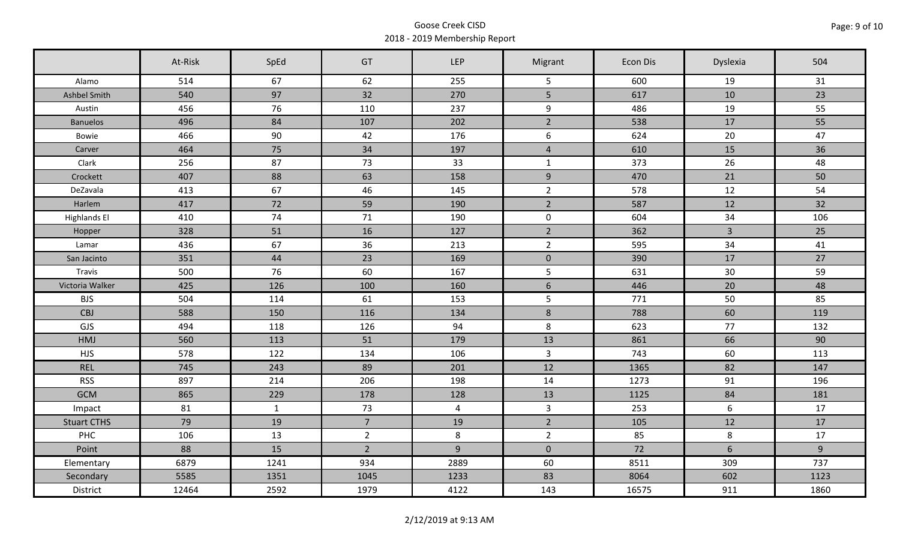|                     | At-Risk | SpEd         | GT             | LEP            | Migrant         | Econ Dis | Dyslexia       | 504  |
|---------------------|---------|--------------|----------------|----------------|-----------------|----------|----------------|------|
| Alamo               | 514     | 67           | 62             | 255            | 5               | 600      | 19             | 31   |
| Ashbel Smith        | 540     | 97           | 32             | 270            | 5               | 617      | 10             | 23   |
| Austin              | 456     | 76           | 110            | 237            | 9               | 486      | 19             | 55   |
| <b>Banuelos</b>     | 496     | 84           | 107            | 202            | $\overline{2}$  | 538      | 17             | 55   |
| Bowie               | 466     | 90           | 42             | 176            | 6               | 624      | 20             | 47   |
| Carver              | 464     | 75           | 34             | 197            | $\overline{4}$  | 610      | 15             | 36   |
| Clark               | 256     | 87           | 73             | 33             | $\mathbf{1}$    | 373      | 26             | 48   |
| Crockett            | 407     | 88           | 63             | 158            | 9               | 470      | 21             | 50   |
| DeZavala            | 413     | 67           | 46             | 145            | $\overline{2}$  | 578      | 12             | 54   |
| Harlem              | 417     | 72           | 59             | 190            | $2^{\circ}$     | 587      | 12             | 32   |
| <b>Highlands El</b> | 410     | 74           | 71             | 190            | $\mathbf 0$     | 604      | 34             | 106  |
| Hopper              | 328     | 51           | 16             | 127            | $\overline{2}$  | 362      | $\overline{3}$ | 25   |
| Lamar               | 436     | 67           | 36             | 213            | $\overline{2}$  | 595      | 34             | 41   |
| San Jacinto         | 351     | 44           | 23             | 169            | $\mathbf 0$     | 390      | 17             | 27   |
| Travis              | 500     | 76           | 60             | 167            | $5\phantom{.}$  | 631      | 30             | 59   |
| Victoria Walker     | 425     | 126          | 100            | 160            | $6\overline{6}$ | 446      | 20             | 48   |
| <b>BJS</b>          | 504     | 114          | 61             | 153            | $5\phantom{.}$  | 771      | 50             | 85   |
| CBJ                 | 588     | 150          | 116            | 134            | $8\phantom{1}$  | 788      | 60             | 119  |
| GJS                 | 494     | 118          | 126            | 94             | 8               | 623      | 77             | 132  |
| HMJ                 | 560     | 113          | 51             | 179            | 13              | 861      | 66             | 90   |
| <b>HJS</b>          | 578     | 122          | 134            | 106            | $\overline{3}$  | 743      | 60             | 113  |
| <b>REL</b>          | 745     | 243          | 89             | 201            | 12              | 1365     | 82             | 147  |
| <b>RSS</b>          | 897     | 214          | 206            | 198            | 14              | 1273     | 91             | 196  |
| <b>GCM</b>          | 865     | 229          | 178            | 128            | 13              | 1125     | 84             | 181  |
| Impact              | 81      | $\mathbf{1}$ | 73             | $\overline{4}$ | $\overline{3}$  | 253      | 6              | 17   |
| <b>Stuart CTHS</b>  | 79      | 19           | $\overline{7}$ | 19             | $\overline{2}$  | 105      | 12             | 17   |
| PHC                 | 106     | 13           | $2^{\circ}$    | $\bf 8$        | $\overline{2}$  | 85       | 8              | 17   |
| Point               | 88      | 15           | $\overline{2}$ | $\overline{9}$ | $\mathbf 0$     | 72       | 6              | 9    |
| Elementary          | 6879    | 1241         | 934            | 2889           | 60              | 8511     | 309            | 737  |
| Secondary           | 5585    | 1351         | 1045           | 1233           | 83              | 8064     | 602            | 1123 |
| District            | 12464   | 2592         | 1979           | 4122           | 143             | 16575    | 911            | 1860 |